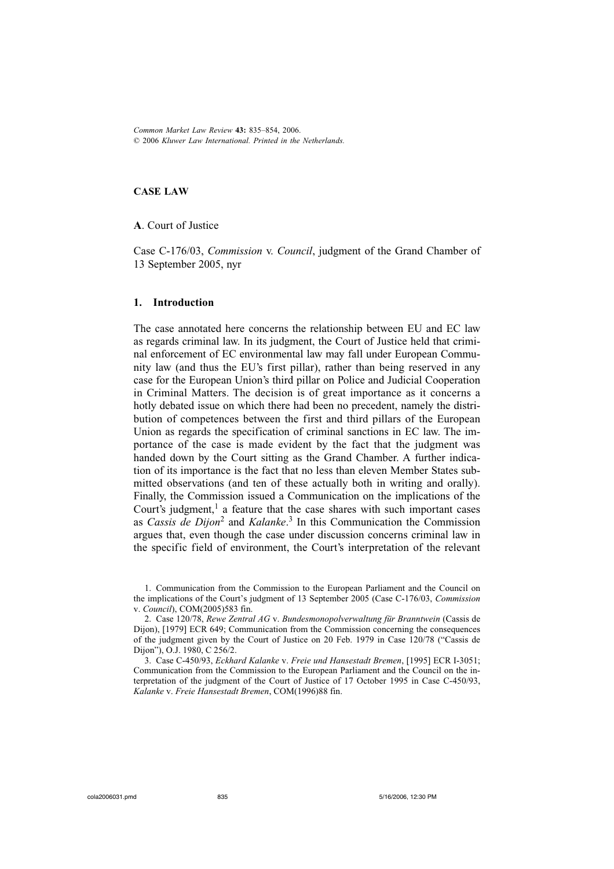*Common Market Law Review* **43:** 835-854, 2006. © 2006 *Kluwer Law International. Printed in the Netherlands.*

### **CASE LAW**

**A**. Court of Justice

Case C-176/03, *Commission* v. *Council*, judgment of the Grand Chamber of 13 September 2005, nyr

## **1. Introduction**

The case annotated here concerns the relationship between EU and EC law as regards criminal law. In its judgment, the Court of Justice held that criminal enforcement of EC environmental law may fall under European Community law (and thus the EU's first pillar), rather than being reserved in any case for the European Union's third pillar on Police and Judicial Cooperation in Criminal Matters. The decision is of great importance as it concerns a hotly debated issue on which there had been no precedent, namely the distribution of competences between the first and third pillars of the European Union as regards the specification of criminal sanctions in EC law. The importance of the case is made evident by the fact that the judgment was handed down by the Court sitting as the Grand Chamber. A further indication of its importance is the fact that no less than eleven Member States submitted observations (and ten of these actually both in writing and orally). Finally, the Commission issued a Communication on the implications of the Court's judgment, $<sup>1</sup>$  a feature that the case shares with such important cases</sup> as *Cassis de Dijon*2 and *Kalanke*. 3 In this Communication the Commission argues that, even though the case under discussion concerns criminal law in the specific field of environment, the Court's interpretation of the relevant

<sup>1.</sup> Communication from the Commission to the European Parliament and the Council on the implications of the Court's judgment of 13 September 2005 (Case C-176/03, *Commission* v. *Council*), COM(2005)583 fin.

<sup>2.</sup> Case 120/78, *Rewe Zentral AG* v. *Bundesmonopolverwaltung für Branntwein* (Cassis de Dijon), [1979] ECR 649; Communication from the Commission concerning the consequences of the judgment given by the Court of Justice on 20 Feb. 1979 in Case 120/78 ("Cassis de Dijon"), O.J. 1980, C 256/2.

<sup>3.</sup> Case C-450/93, *Eckhard Kalanke* v. *Freie und Hansestadt Bremen*, [1995] ECR I-3051; Communication from the Commission to the European Parliament and the Council on the interpretation of the judgment of the Court of Justice of 17 October 1995 in Case C-450/93, *Kalanke* v. *Freie Hansestadt Bremen*, COM(1996)88 fin.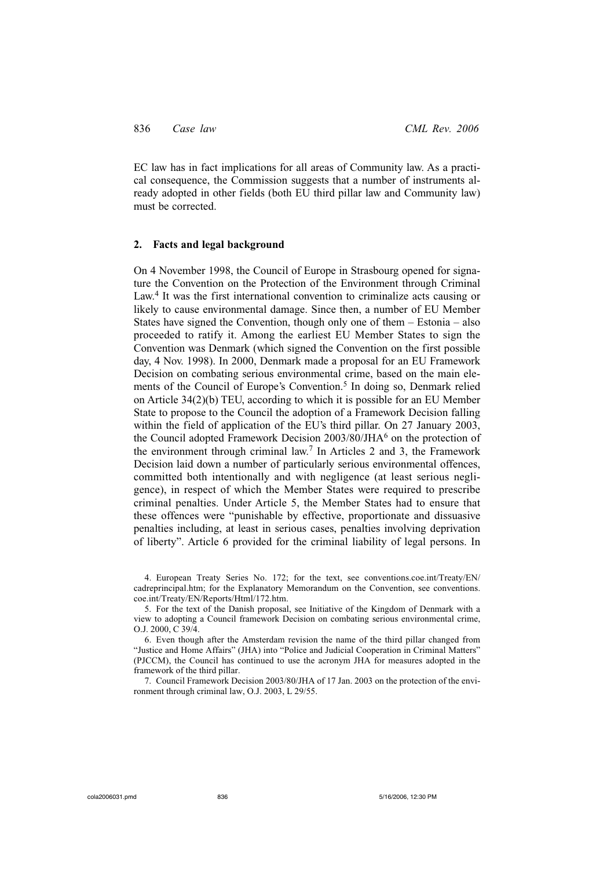EC law has in fact implications for all areas of Community law. As a practical consequence, the Commission suggests that a number of instruments already adopted in other fields (both EU third pillar law and Community law) must be corrected.

## **2. Facts and legal background**

On 4 November 1998, the Council of Europe in Strasbourg opened for signature the Convention on the Protection of the Environment through Criminal Law.<sup>4</sup> It was the first international convention to criminalize acts causing or likely to cause environmental damage. Since then, a number of EU Member States have signed the Convention, though only one of them – Estonia – also proceeded to ratify it. Among the earliest EU Member States to sign the Convention was Denmark (which signed the Convention on the first possible day, 4 Nov. 1998). In 2000, Denmark made a proposal for an EU Framework Decision on combating serious environmental crime, based on the main elements of the Council of Europe's Convention.<sup>5</sup> In doing so, Denmark relied on Article 34(2)(b) TEU, according to which it is possible for an EU Member State to propose to the Council the adoption of a Framework Decision falling within the field of application of the EU's third pillar. On 27 January 2003, the Council adopted Framework Decision 2003/80/JHA6 on the protection of the environment through criminal law.7 In Articles 2 and 3, the Framework Decision laid down a number of particularly serious environmental offences, committed both intentionally and with negligence (at least serious negligence), in respect of which the Member States were required to prescribe criminal penalties. Under Article 5, the Member States had to ensure that these offences were "punishable by effective, proportionate and dissuasive penalties including, at least in serious cases, penalties involving deprivation of liberty". Article 6 provided for the criminal liability of legal persons. In

4. European Treaty Series No. 172; for the text, see conventions.coe.int/Treaty/EN/ cadreprincipal.htm; for the Explanatory Memorandum on the Convention, see conventions. coe.int/Treaty/EN/Reports/Html/172.htm.

5. For the text of the Danish proposal, see Initiative of the Kingdom of Denmark with a view to adopting a Council framework Decision on combating serious environmental crime, O.J. 2000, C 39/4.

6. Even though after the Amsterdam revision the name of the third pillar changed from "Justice and Home Affairs" (JHA) into "Police and Judicial Cooperation in Criminal Matters" (PJCCM), the Council has continued to use the acronym JHA for measures adopted in the framework of the third pillar.

7. Council Framework Decision 2003/80/JHA of 17 Jan. 2003 on the protection of the environment through criminal law, O.J. 2003, L 29/55.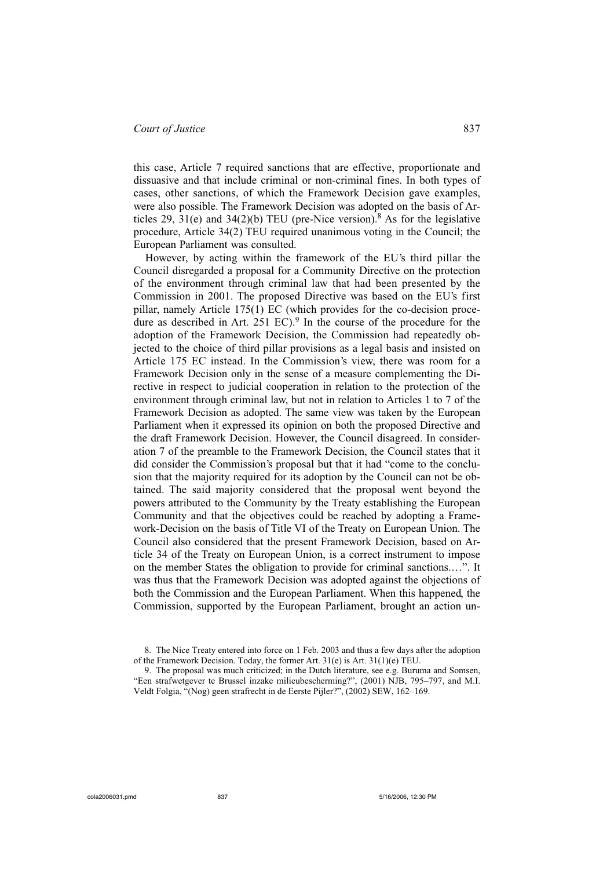this case, Article 7 required sanctions that are effective, proportionate and dissuasive and that include criminal or non-criminal fines. In both types of cases, other sanctions, of which the Framework Decision gave examples, were also possible. The Framework Decision was adopted on the basis of Articles 29, 31(e) and 34(2)(b) TEU (pre-Nice version).<sup>8</sup> As for the legislative procedure, Article 34(2) TEU required unanimous voting in the Council; the European Parliament was consulted.

However, by acting within the framework of the EU's third pillar the Council disregarded a proposal for a Community Directive on the protection of the environment through criminal law that had been presented by the Commission in 2001. The proposed Directive was based on the EU's first pillar, namely Article 175(1) EC (which provides for the co-decision procedure as described in Art.  $251$  EC).<sup>9</sup> In the course of the procedure for the adoption of the Framework Decision, the Commission had repeatedly objected to the choice of third pillar provisions as a legal basis and insisted on Article 175 EC instead. In the Commission's view, there was room for a Framework Decision only in the sense of a measure complementing the Directive in respect to judicial cooperation in relation to the protection of the environment through criminal law, but not in relation to Articles 1 to 7 of the Framework Decision as adopted. The same view was taken by the European Parliament when it expressed its opinion on both the proposed Directive and the draft Framework Decision. However, the Council disagreed. In consideration 7 of the preamble to the Framework Decision, the Council states that it did consider the Commission's proposal but that it had "come to the conclusion that the majority required for its adoption by the Council can not be obtained. The said majority considered that the proposal went beyond the powers attributed to the Community by the Treaty establishing the European Community and that the objectives could be reached by adopting a Framework-Decision on the basis of Title VI of the Treaty on European Union. The Council also considered that the present Framework Decision, based on Article 34 of the Treaty on European Union, is a correct instrument to impose on the member States the obligation to provide for criminal sanctions.…". It was thus that the Framework Decision was adopted against the objections of both the Commission and the European Parliament. When this happened, the Commission, supported by the European Parliament, brought an action un-

<sup>8.</sup> The Nice Treaty entered into force on 1 Feb. 2003 and thus a few days after the adoption of the Framework Decision. Today, the former Art. 31(e) is Art. 31(1)(e) TEU.

<sup>9.</sup> The proposal was much criticized; in the Dutch literature, see e.g. Buruma and Somsen, "Een strafwetgever te Brussel inzake milieubescherming?", (2001) NJB, 795–797, and M.I. Veldt Folgia, "(Nog) geen strafrecht in de Eerste Pijler?", (2002) SEW, 162–169.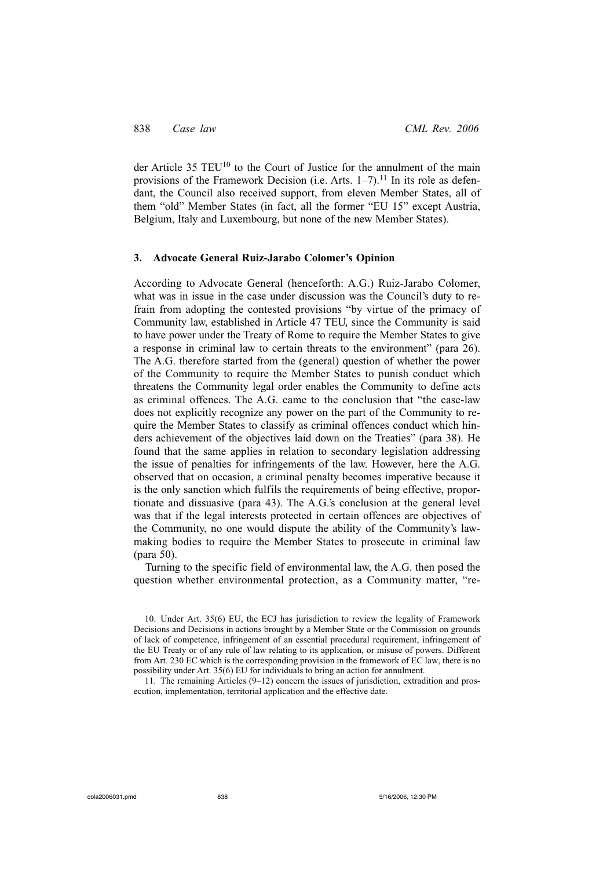der Article 35 TEU<sup>10</sup> to the Court of Justice for the annulment of the main provisions of the Framework Decision (i.e. Arts.  $1-7$ ).<sup>11</sup> In its role as defendant, the Council also received support, from eleven Member States, all of them "old" Member States (in fact, all the former "EU 15" except Austria, Belgium, Italy and Luxembourg, but none of the new Member States).

## **3. Advocate General Ruiz-Jarabo Colomer's Opinion**

According to Advocate General (henceforth: A.G.) Ruiz-Jarabo Colomer, what was in issue in the case under discussion was the Council's duty to refrain from adopting the contested provisions "by virtue of the primacy of Community law, established in Article 47 TEU, since the Community is said to have power under the Treaty of Rome to require the Member States to give a response in criminal law to certain threats to the environment" (para 26). The A.G. therefore started from the (general) question of whether the power of the Community to require the Member States to punish conduct which threatens the Community legal order enables the Community to define acts as criminal offences. The A.G. came to the conclusion that "the case-law does not explicitly recognize any power on the part of the Community to require the Member States to classify as criminal offences conduct which hinders achievement of the objectives laid down on the Treaties" (para 38). He found that the same applies in relation to secondary legislation addressing the issue of penalties for infringements of the law. However, here the A.G. observed that on occasion, a criminal penalty becomes imperative because it is the only sanction which fulfils the requirements of being effective, proportionate and dissuasive (para 43). The A.G.'s conclusion at the general level was that if the legal interests protected in certain offences are objectives of the Community, no one would dispute the ability of the Community's lawmaking bodies to require the Member States to prosecute in criminal law (para 50).

Turning to the specific field of environmental law, the A.G. then posed the question whether environmental protection, as a Community matter, "re-

11. The remaining Articles (9–12) concern the issues of jurisdiction, extradition and prosecution, implementation, territorial application and the effective date.

<sup>10.</sup> Under Art. 35(6) EU, the ECJ has jurisdiction to review the legality of Framework Decisions and Decisions in actions brought by a Member State or the Commission on grounds of lack of competence, infringement of an essential procedural requirement, infringement of the EU Treaty or of any rule of law relating to its application, or misuse of powers. Different from Art. 230 EC which is the corresponding provision in the framework of EC law, there is no possibility under Art. 35(6) EU for individuals to bring an action for annulment.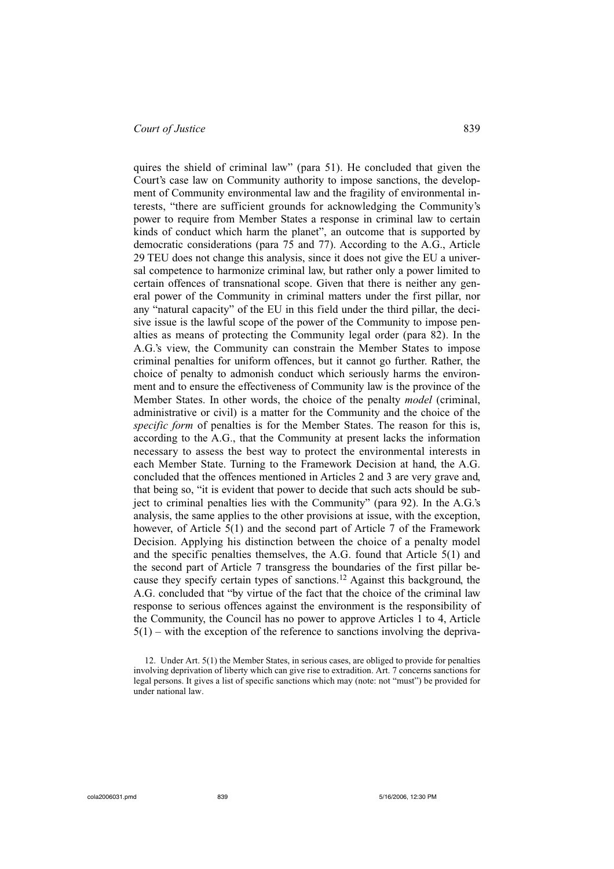quires the shield of criminal law" (para 51). He concluded that given the Court's case law on Community authority to impose sanctions, the development of Community environmental law and the fragility of environmental interests, "there are sufficient grounds for acknowledging the Community's power to require from Member States a response in criminal law to certain kinds of conduct which harm the planet", an outcome that is supported by democratic considerations (para 75 and 77). According to the A.G., Article 29 TEU does not change this analysis, since it does not give the EU a universal competence to harmonize criminal law, but rather only a power limited to certain offences of transnational scope. Given that there is neither any general power of the Community in criminal matters under the first pillar, nor any "natural capacity" of the EU in this field under the third pillar, the decisive issue is the lawful scope of the power of the Community to impose penalties as means of protecting the Community legal order (para 82). In the A.G.'s view, the Community can constrain the Member States to impose criminal penalties for uniform offences, but it cannot go further. Rather, the choice of penalty to admonish conduct which seriously harms the environment and to ensure the effectiveness of Community law is the province of the Member States. In other words, the choice of the penalty *model* (criminal, administrative or civil) is a matter for the Community and the choice of the *specific form* of penalties is for the Member States. The reason for this is, according to the A.G., that the Community at present lacks the information necessary to assess the best way to protect the environmental interests in each Member State. Turning to the Framework Decision at hand, the A.G. concluded that the offences mentioned in Articles 2 and 3 are very grave and, that being so, "it is evident that power to decide that such acts should be subject to criminal penalties lies with the Community" (para 92). In the A.G.'s analysis, the same applies to the other provisions at issue, with the exception, however, of Article 5(1) and the second part of Article 7 of the Framework Decision. Applying his distinction between the choice of a penalty model and the specific penalties themselves, the A.G. found that Article 5(1) and the second part of Article 7 transgress the boundaries of the first pillar because they specify certain types of sanctions.12 Against this background, the A.G. concluded that "by virtue of the fact that the choice of the criminal law response to serious offences against the environment is the responsibility of the Community, the Council has no power to approve Articles 1 to 4, Article  $5(1)$  – with the exception of the reference to sanctions involving the depriva-

<sup>12.</sup> Under Art. 5(1) the Member States, in serious cases, are obliged to provide for penalties involving deprivation of liberty which can give rise to extradition. Art. 7 concerns sanctions for legal persons. It gives a list of specific sanctions which may (note: not "must") be provided for under national law.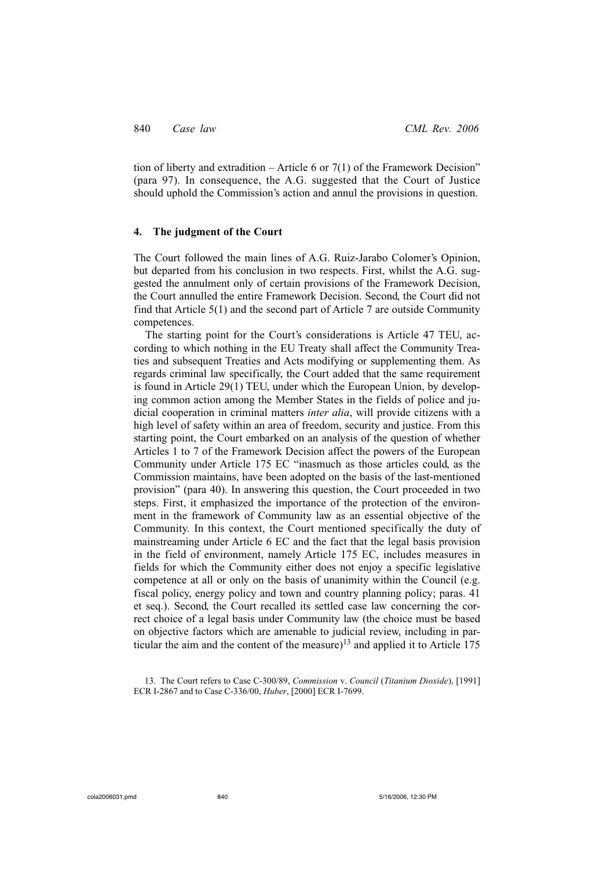tion of liberty and extradition – Article 6 or  $7(1)$  of the Framework Decision" (para 97). In consequence, the A.G. suggested that the Court of Justice should uphold the Commission's action and annul the provisions in question.

# **4. The judgment of the Court**

The Court followed the main lines of A.G. Ruiz-Jarabo Colomer's Opinion, but departed from his conclusion in two respects. First, whilst the A.G. suggested the annulment only of certain provisions of the Framework Decision, the Court annulled the entire Framework Decision. Second, the Court did not find that Article 5(1) and the second part of Article 7 are outside Community competences.

The starting point for the Court's considerations is Article 47 TEU, according to which nothing in the EU Treaty shall affect the Community Treaties and subsequent Treaties and Acts modifying or supplementing them. As regards criminal law specifically, the Court added that the same requirement is found in Article 29(1) TEU, under which the European Union, by developing common action among the Member States in the fields of police and judicial cooperation in criminal matters *inter alia*, will provide citizens with a high level of safety within an area of freedom, security and justice. From this starting point, the Court embarked on an analysis of the question of whether Articles 1 to 7 of the Framework Decision affect the powers of the European Community under Article 175 EC "inasmuch as those articles could, as the Commission maintains, have been adopted on the basis of the last-mentioned provision" (para 40). In answering this question, the Court proceeded in two steps. First, it emphasized the importance of the protection of the environment in the framework of Community law as an essential objective of the Community. In this context, the Court mentioned specifically the duty of mainstreaming under Article 6 EC and the fact that the legal basis provision in the field of environment, namely Article 175 EC, includes measures in fields for which the Community either does not enjoy a specific legislative competence at all or only on the basis of unanimity within the Council (e.g. fiscal policy, energy policy and town and country planning policy; paras. 41 et seq.). Second, the Court recalled its settled case law concerning the correct choice of a legal basis under Community law (the choice must be based on objective factors which are amenable to judicial review, including in particular the aim and the content of the measure)<sup>13</sup> and applied it to Article  $175$ 

<sup>13.</sup> The Court refers to Case C-300/89, *Commission* v. *Council* (*Titanium Dioxide*), [1991] ECR I-2867 and to Case C-336/00, *Huber*, [2000] ECR I-7699.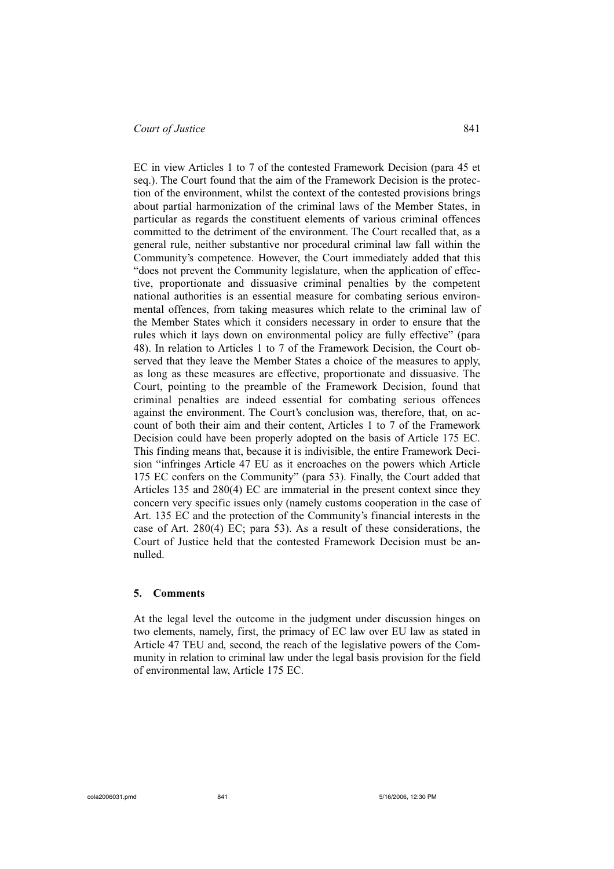EC in view Articles 1 to 7 of the contested Framework Decision (para 45 et seq.). The Court found that the aim of the Framework Decision is the protection of the environment, whilst the context of the contested provisions brings about partial harmonization of the criminal laws of the Member States, in particular as regards the constituent elements of various criminal offences committed to the detriment of the environment. The Court recalled that, as a general rule, neither substantive nor procedural criminal law fall within the Community's competence. However, the Court immediately added that this "does not prevent the Community legislature, when the application of effective, proportionate and dissuasive criminal penalties by the competent national authorities is an essential measure for combating serious environmental offences, from taking measures which relate to the criminal law of the Member States which it considers necessary in order to ensure that the rules which it lays down on environmental policy are fully effective" (para 48). In relation to Articles 1 to 7 of the Framework Decision, the Court observed that they leave the Member States a choice of the measures to apply, as long as these measures are effective, proportionate and dissuasive. The Court, pointing to the preamble of the Framework Decision, found that criminal penalties are indeed essential for combating serious offences against the environment. The Court's conclusion was, therefore, that, on account of both their aim and their content, Articles 1 to 7 of the Framework Decision could have been properly adopted on the basis of Article 175 EC. This finding means that, because it is indivisible, the entire Framework Decision "infringes Article 47 EU as it encroaches on the powers which Article 175 EC confers on the Community" (para 53). Finally, the Court added that Articles 135 and 280(4) EC are immaterial in the present context since they concern very specific issues only (namely customs cooperation in the case of Art. 135 EC and the protection of the Community's financial interests in the case of Art. 280(4) EC; para 53). As a result of these considerations, the Court of Justice held that the contested Framework Decision must be annulled.

## **5. Comments**

At the legal level the outcome in the judgment under discussion hinges on two elements, namely, first, the primacy of EC law over EU law as stated in Article 47 TEU and, second, the reach of the legislative powers of the Community in relation to criminal law under the legal basis provision for the field of environmental law, Article 175 EC.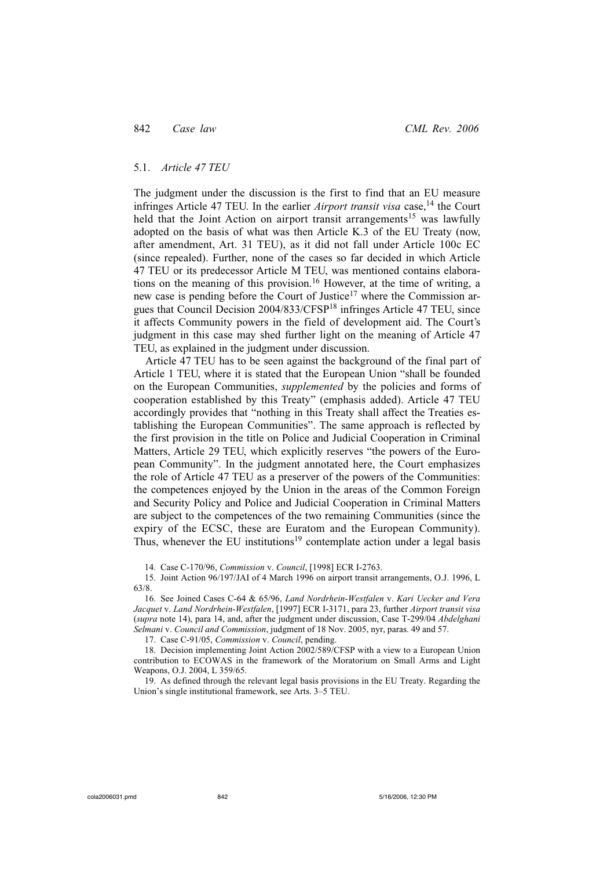### 5.1. *Article 47 TEU*

The judgment under the discussion is the first to find that an EU measure infringes Article 47 TEU. In the earlier *Airport transit visa* case,<sup>14</sup> the Court held that the Joint Action on airport transit arrangements<sup>15</sup> was lawfully adopted on the basis of what was then Article K.3 of the EU Treaty (now, after amendment, Art. 31 TEU), as it did not fall under Article 100c EC (since repealed). Further, none of the cases so far decided in which Article 47 TEU or its predecessor Article M TEU, was mentioned contains elaborations on the meaning of this provision.16 However, at the time of writing, a new case is pending before the Court of Justice<sup>17</sup> where the Commission argues that Council Decision 2004/833/CFSP18 infringes Article 47 TEU, since it affects Community powers in the field of development aid. The Court's judgment in this case may shed further light on the meaning of Article 47 TEU, as explained in the judgment under discussion.

Article 47 TEU has to be seen against the background of the final part of Article 1 TEU, where it is stated that the European Union "shall be founded on the European Communities, *supplemented* by the policies and forms of cooperation established by this Treaty" (emphasis added). Article 47 TEU accordingly provides that "nothing in this Treaty shall affect the Treaties establishing the European Communities". The same approach is reflected by the first provision in the title on Police and Judicial Cooperation in Criminal Matters, Article 29 TEU, which explicitly reserves "the powers of the European Community". In the judgment annotated here, the Court emphasizes the role of Article 47 TEU as a preserver of the powers of the Communities: the competences enjoyed by the Union in the areas of the Common Foreign and Security Policy and Police and Judicial Cooperation in Criminal Matters are subject to the competences of the two remaining Communities (since the expiry of the ECSC, these are Euratom and the European Community). Thus, whenever the EU institutions<sup>19</sup> contemplate action under a legal basis

14. Case C-170/96, *Commission* v. *Council*, [1998] ECR I-2763.

15. Joint Action 96/197/JAI of 4 March 1996 on airport transit arrangements, O.J. 1996, L 63/8.

16. See Joined Cases C-64 & 65/96, *Land Nordrhein-Westfalen* v. *Kari Uecker and Vera Jacquet* v. *Land Nordrhein-Westfalen*, [1997] ECR I-3171, para 23, further *Airport transit visa* (*supra* note 14), para 14, and, after the judgment under discussion, Case T-299/04 *Abdelghani Selmani* v. *Council and Commission*, judgment of 18 Nov. 2005, nyr, paras. 49 and 57.

17. Case C-91/05, *Commission* v. *Council*, pending.

18. Decision implementing Joint Action 2002/589/CFSP with a view to a European Union contribution to ECOWAS in the framework of the Moratorium on Small Arms and Light Weapons, O.J. 2004, L 359/65.

19. As defined through the relevant legal basis provisions in the EU Treaty. Regarding the Union's single institutional framework, see Arts. 3–5 TEU.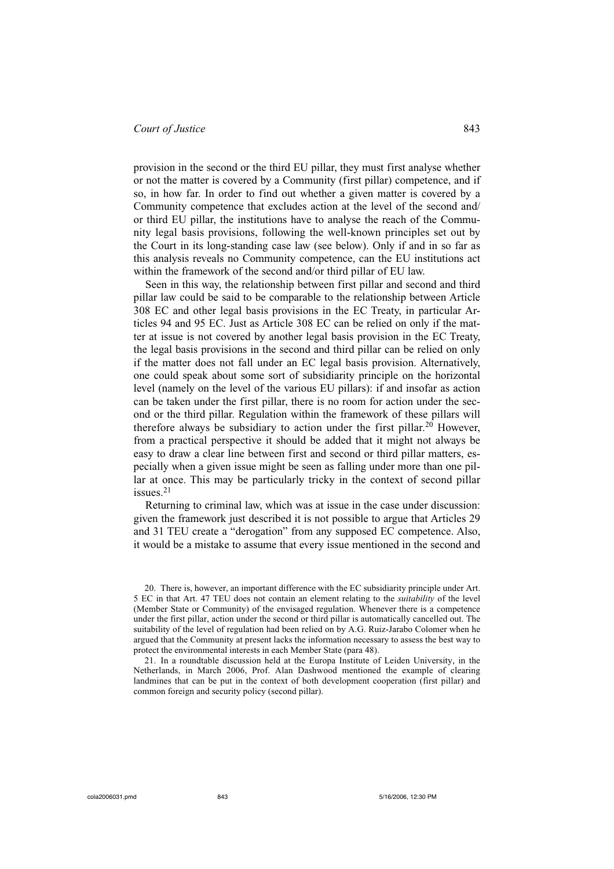provision in the second or the third EU pillar, they must first analyse whether or not the matter is covered by a Community (first pillar) competence, and if so, in how far. In order to find out whether a given matter is covered by a Community competence that excludes action at the level of the second and/ or third EU pillar, the institutions have to analyse the reach of the Community legal basis provisions, following the well-known principles set out by the Court in its long-standing case law (see below). Only if and in so far as this analysis reveals no Community competence, can the EU institutions act within the framework of the second and/or third pillar of EU law.

Seen in this way, the relationship between first pillar and second and third pillar law could be said to be comparable to the relationship between Article 308 EC and other legal basis provisions in the EC Treaty, in particular Articles 94 and 95 EC. Just as Article 308 EC can be relied on only if the matter at issue is not covered by another legal basis provision in the EC Treaty, the legal basis provisions in the second and third pillar can be relied on only if the matter does not fall under an EC legal basis provision. Alternatively, one could speak about some sort of subsidiarity principle on the horizontal level (namely on the level of the various EU pillars): if and insofar as action can be taken under the first pillar, there is no room for action under the second or the third pillar. Regulation within the framework of these pillars will therefore always be subsidiary to action under the first pillar.<sup>20</sup> However, from a practical perspective it should be added that it might not always be easy to draw a clear line between first and second or third pillar matters, especially when a given issue might be seen as falling under more than one pillar at once. This may be particularly tricky in the context of second pillar issues.<sup>21</sup>

Returning to criminal law, which was at issue in the case under discussion: given the framework just described it is not possible to argue that Articles 29 and 31 TEU create a "derogation" from any supposed EC competence. Also, it would be a mistake to assume that every issue mentioned in the second and

<sup>20.</sup> There is, however, an important difference with the EC subsidiarity principle under Art. 5 EC in that Art. 47 TEU does not contain an element relating to the *suitability* of the level (Member State or Community) of the envisaged regulation. Whenever there is a competence under the first pillar, action under the second or third pillar is automatically cancelled out. The suitability of the level of regulation had been relied on by A.G. Ruiz-Jarabo Colomer when he argued that the Community at present lacks the information necessary to assess the best way to protect the environmental interests in each Member State (para 48).

<sup>21.</sup> In a roundtable discussion held at the Europa Institute of Leiden University, in the Netherlands, in March 2006, Prof. Alan Dashwood mentioned the example of clearing landmines that can be put in the context of both development cooperation (first pillar) and common foreign and security policy (second pillar).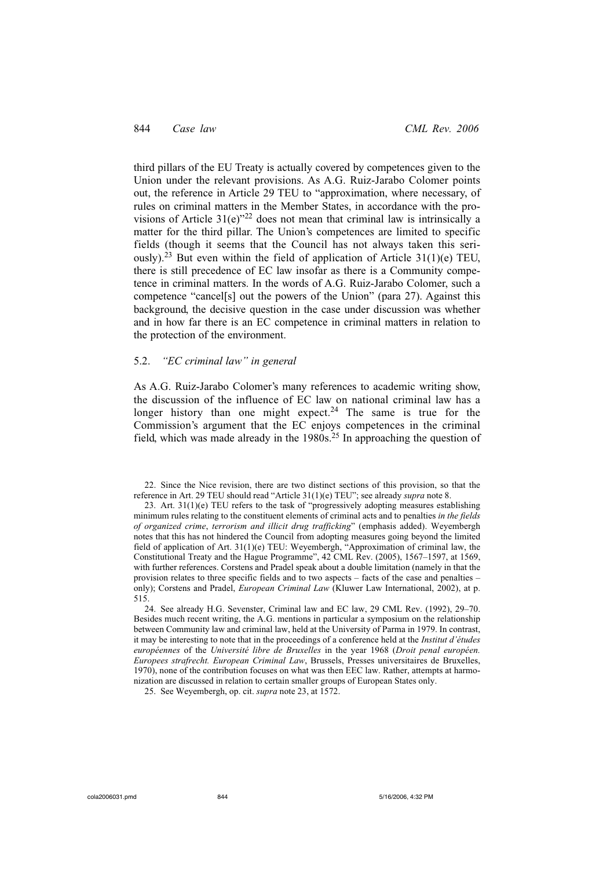third pillars of the EU Treaty is actually covered by competences given to the Union under the relevant provisions. As A.G. Ruiz-Jarabo Colomer points out, the reference in Article 29 TEU to "approximation, where necessary, of rules on criminal matters in the Member States, in accordance with the provisions of Article  $31(e)^{22}$  does not mean that criminal law is intrinsically a matter for the third pillar. The Union's competences are limited to specific fields (though it seems that the Council has not always taken this seriously).<sup>23</sup> But even within the field of application of Article 31(1)(e) TEU, there is still precedence of EC law insofar as there is a Community competence in criminal matters. In the words of A.G. Ruiz-Jarabo Colomer, such a competence "cancel[s] out the powers of the Union" (para 27). Against this background, the decisive question in the case under discussion was whether and in how far there is an EC competence in criminal matters in relation to the protection of the environment.

### 5.2. *"EC criminal law" in general*

As A.G. Ruiz-Jarabo Colomer's many references to academic writing show, the discussion of the influence of EC law on national criminal law has a longer history than one might expect.<sup>24</sup> The same is true for the Commission's argument that the EC enjoys competences in the criminal field, which was made already in the  $1980s<sup>25</sup>$  In approaching the question of

22. Since the Nice revision, there are two distinct sections of this provision, so that the reference in Art. 29 TEU should read "Article 31(1)(e) TEU"; see already *supra* note 8.

23. Art.  $31(1)(e)$  TEU refers to the task of "progressively adopting measures establishing minimum rules relating to the constituent elements of criminal acts and to penalties *in the fields of organized crime*, *terrorism and illicit drug trafficking*" (emphasis added). Weyembergh notes that this has not hindered the Council from adopting measures going beyond the limited field of application of Art. 31(1)(e) TEU: Weyembergh, "Approximation of criminal law, the Constitutional Treaty and the Hague Programme", 42 CML Rev. (2005), 1567–1597, at 1569, with further references. Corstens and Pradel speak about a double limitation (namely in that the provision relates to three specific fields and to two aspects – facts of the case and penalties – only); Corstens and Pradel, *European Criminal Law* (Kluwer Law International, 2002), at p. 515.

24. See already H.G. Sevenster, Criminal law and EC law, 29 CML Rev. (1992), 29–70. Besides much recent writing, the A.G. mentions in particular a symposium on the relationship between Community law and criminal law, held at the University of Parma in 1979. In contrast, it may be interesting to note that in the proceedings of a conference held at the *Institut d'études européennes* of the *Université libre de Bruxelles* in the year 1968 (*Droit penal européen. Europees strafrecht. European Criminal Law*, Brussels, Presses universitaires de Bruxelles, 1970), none of the contribution focuses on what was then EEC law. Rather, attempts at harmonization are discussed in relation to certain smaller groups of European States only.

25. See Weyembergh, op. cit. *supra* note 23, at 1572.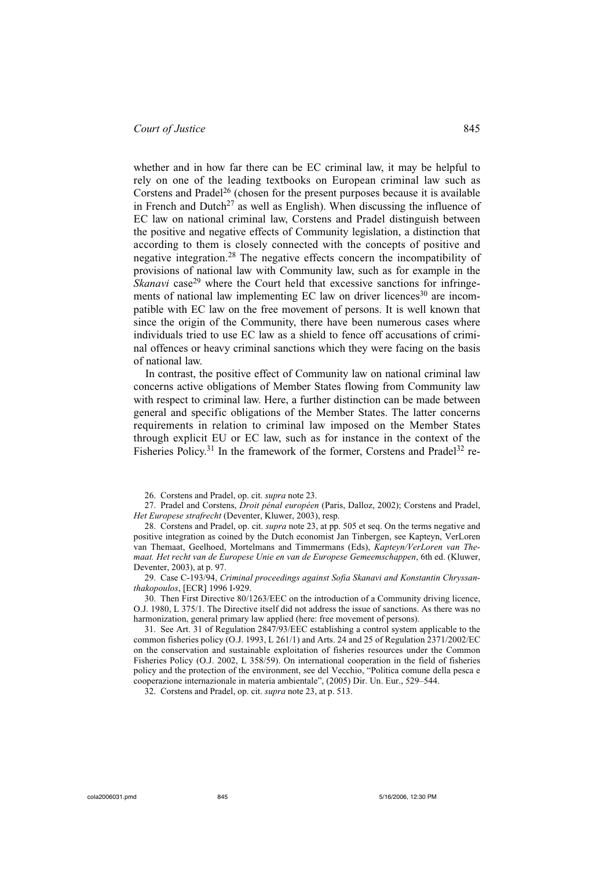whether and in how far there can be EC criminal law, it may be helpful to rely on one of the leading textbooks on European criminal law such as Corstens and Pradel<sup>26</sup> (chosen for the present purposes because it is available in French and Dutch<sup>27</sup> as well as English). When discussing the influence of EC law on national criminal law, Corstens and Pradel distinguish between the positive and negative effects of Community legislation, a distinction that according to them is closely connected with the concepts of positive and negative integration.28 The negative effects concern the incompatibility of provisions of national law with Community law, such as for example in the *Skanavi* case<sup>29</sup> where the Court held that excessive sanctions for infringements of national law implementing EC law on driver licences<sup>30</sup> are incompatible with EC law on the free movement of persons. It is well known that since the origin of the Community, there have been numerous cases where individuals tried to use EC law as a shield to fence off accusations of criminal offences or heavy criminal sanctions which they were facing on the basis of national law.

In contrast, the positive effect of Community law on national criminal law concerns active obligations of Member States flowing from Community law with respect to criminal law. Here, a further distinction can be made between general and specific obligations of the Member States. The latter concerns requirements in relation to criminal law imposed on the Member States through explicit EU or EC law, such as for instance in the context of the Fisheries Policy.<sup>31</sup> In the framework of the former, Corstens and Pradel<sup>32</sup> re-

29. Case C-193/94, *Criminal proceedings against Sofia Skanavi and Konstantin Chryssanthakopoulos*, [ECR] 1996 I-929.

30. Then First Directive 80/1263/EEC on the introduction of a Community driving licence, O.J. 1980, L 375/1. The Directive itself did not address the issue of sanctions. As there was no harmonization, general primary law applied (here: free movement of persons).

31. See Art. 31 of Regulation 2847/93/EEC establishing a control system applicable to the common fisheries policy (O.J. 1993, L 261/1) and Arts. 24 and 25 of Regulation 2371/2002/EC on the conservation and sustainable exploitation of fisheries resources under the Common Fisheries Policy (O.J. 2002, L 358/59). On international cooperation in the field of fisheries policy and the protection of the environment, see del Vecchio, "Politica comune della pesca e cooperazione internazionale in materia ambientale", (2005) Dir. Un. Eur., 529–544.

32. Corstens and Pradel, op. cit. *supra* note 23, at p. 513.

<sup>26.</sup> Corstens and Pradel, op. cit. *supra* note 23.

<sup>27.</sup> Pradel and Corstens, *Droit pénal européen* (Paris, Dalloz, 2002); Corstens and Pradel, *Het Europese strafrecht* (Deventer, Kluwer, 2003), resp.

<sup>28.</sup> Corstens and Pradel, op. cit. *supra* note 23, at pp. 505 et seq. On the terms negative and positive integration as coined by the Dutch economist Jan Tinbergen, see Kapteyn, VerLoren van Themaat, Geelhoed, Mortelmans and Timmermans (Eds), *Kapteyn/VerLoren van Themaat. Het recht van de Europese Unie en van de Europese Gemeemschappen*, 6th ed. (Kluwer, Deventer, 2003), at p. 97.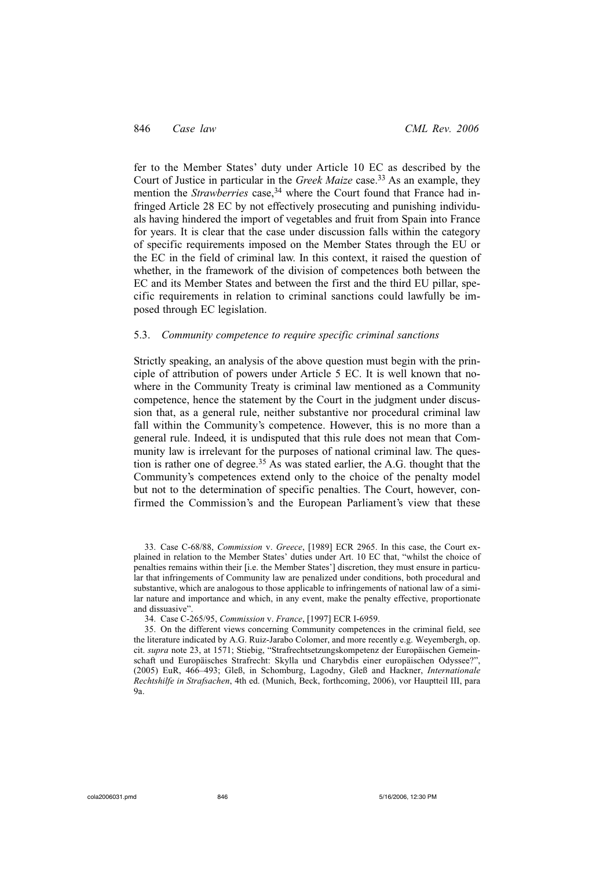fer to the Member States' duty under Article 10 EC as described by the Court of Justice in particular in the *Greek Maize* case.<sup>33</sup> As an example, they mention the *Strawberries* case,<sup>34</sup> where the Court found that France had infringed Article 28 EC by not effectively prosecuting and punishing individuals having hindered the import of vegetables and fruit from Spain into France for years. It is clear that the case under discussion falls within the category of specific requirements imposed on the Member States through the EU or the EC in the field of criminal law. In this context, it raised the question of whether, in the framework of the division of competences both between the EC and its Member States and between the first and the third EU pillar, specific requirements in relation to criminal sanctions could lawfully be imposed through EC legislation.

## 5.3. *Community competence to require specific criminal sanctions*

Strictly speaking, an analysis of the above question must begin with the principle of attribution of powers under Article 5 EC. It is well known that nowhere in the Community Treaty is criminal law mentioned as a Community competence, hence the statement by the Court in the judgment under discussion that, as a general rule, neither substantive nor procedural criminal law fall within the Community's competence. However, this is no more than a general rule. Indeed, it is undisputed that this rule does not mean that Community law is irrelevant for the purposes of national criminal law. The question is rather one of degree.<sup>35</sup> As was stated earlier, the A.G. thought that the Community's competences extend only to the choice of the penalty model but not to the determination of specific penalties. The Court, however, confirmed the Commission's and the European Parliament's view that these

33. Case C-68/88, *Commission* v. *Greece*, [1989] ECR 2965. In this case, the Court explained in relation to the Member States' duties under Art. 10 EC that, "whilst the choice of penalties remains within their [i.e. the Member States'] discretion, they must ensure in particular that infringements of Community law are penalized under conditions, both procedural and substantive, which are analogous to those applicable to infringements of national law of a similar nature and importance and which, in any event, make the penalty effective, proportionate and dissuasive".

<sup>34.</sup> Case C-265/95, *Commission* v. *France*, [1997] ECR I-6959.

<sup>35.</sup> On the different views concerning Community competences in the criminal field, see the literature indicated by A.G. Ruiz-Jarabo Colomer, and more recently e.g. Weyembergh, op. cit. *supra* note 23, at 1571; Stiebig, "Strafrechtsetzungskompetenz der Europäischen Gemeinschaft und Europäisches Strafrecht: Skylla und Charybdis einer europäischen Odyssee?", (2005) EuR, 466–493; Gleß, in Schomburg, Lagodny, Gleß and Hackner, *Internationale Rechtshilfe in Strafsachen*, 4th ed. (Munich, Beck, forthcoming, 2006), vor Hauptteil III, para 9a.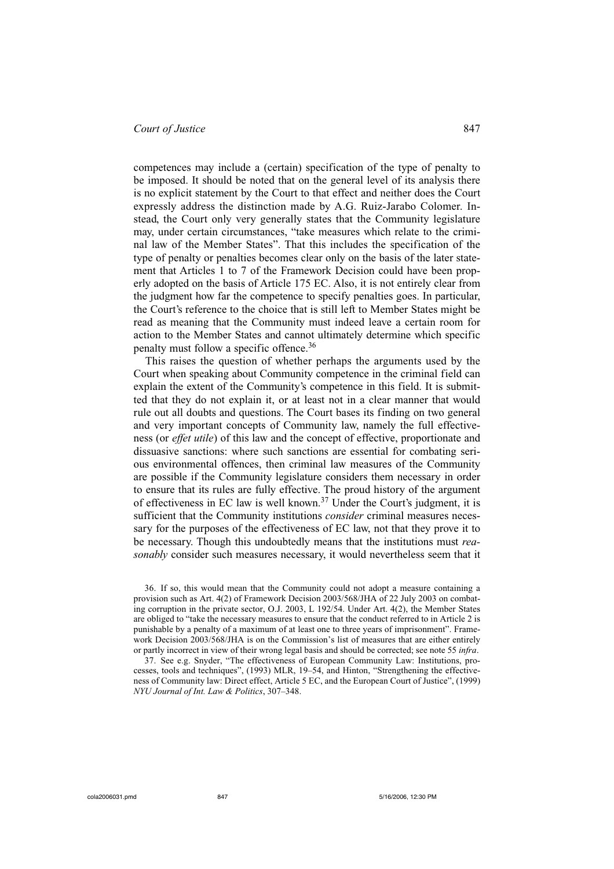competences may include a (certain) specification of the type of penalty to be imposed. It should be noted that on the general level of its analysis there is no explicit statement by the Court to that effect and neither does the Court expressly address the distinction made by A.G. Ruiz-Jarabo Colomer. Instead, the Court only very generally states that the Community legislature may, under certain circumstances, "take measures which relate to the criminal law of the Member States". That this includes the specification of the type of penalty or penalties becomes clear only on the basis of the later statement that Articles 1 to 7 of the Framework Decision could have been properly adopted on the basis of Article 175 EC. Also, it is not entirely clear from the judgment how far the competence to specify penalties goes. In particular, the Court's reference to the choice that is still left to Member States might be read as meaning that the Community must indeed leave a certain room for action to the Member States and cannot ultimately determine which specific penalty must follow a specific offence.<sup>36</sup>

This raises the question of whether perhaps the arguments used by the Court when speaking about Community competence in the criminal field can explain the extent of the Community's competence in this field. It is submitted that they do not explain it, or at least not in a clear manner that would rule out all doubts and questions. The Court bases its finding on two general and very important concepts of Community law, namely the full effectiveness (or *effet utile*) of this law and the concept of effective, proportionate and dissuasive sanctions: where such sanctions are essential for combating serious environmental offences, then criminal law measures of the Community are possible if the Community legislature considers them necessary in order to ensure that its rules are fully effective. The proud history of the argument of effectiveness in EC law is well known.<sup>37</sup> Under the Court's judgment, it is sufficient that the Community institutions *consider* criminal measures necessary for the purposes of the effectiveness of EC law, not that they prove it to be necessary. Though this undoubtedly means that the institutions must *reasonably* consider such measures necessary, it would nevertheless seem that it

36. If so, this would mean that the Community could not adopt a measure containing a provision such as Art. 4(2) of Framework Decision 2003/568/JHA of 22 July 2003 on combating corruption in the private sector, O.J. 2003, L 192/54. Under Art. 4(2), the Member States are obliged to "take the necessary measures to ensure that the conduct referred to in Article 2 is punishable by a penalty of a maximum of at least one to three years of imprisonment". Framework Decision 2003/568/JHA is on the Commission's list of measures that are either entirely or partly incorrect in view of their wrong legal basis and should be corrected; see note 55 *infra*.

37. See e.g. Snyder, "The effectiveness of European Community Law: Institutions, processes, tools and techniques", (1993) MLR, 19–54, and Hinton, "Strengthening the effectiveness of Community law: Direct effect, Article 5 EC, and the European Court of Justice", (1999) *NYU Journal of Int. Law & Politics*, 307–348.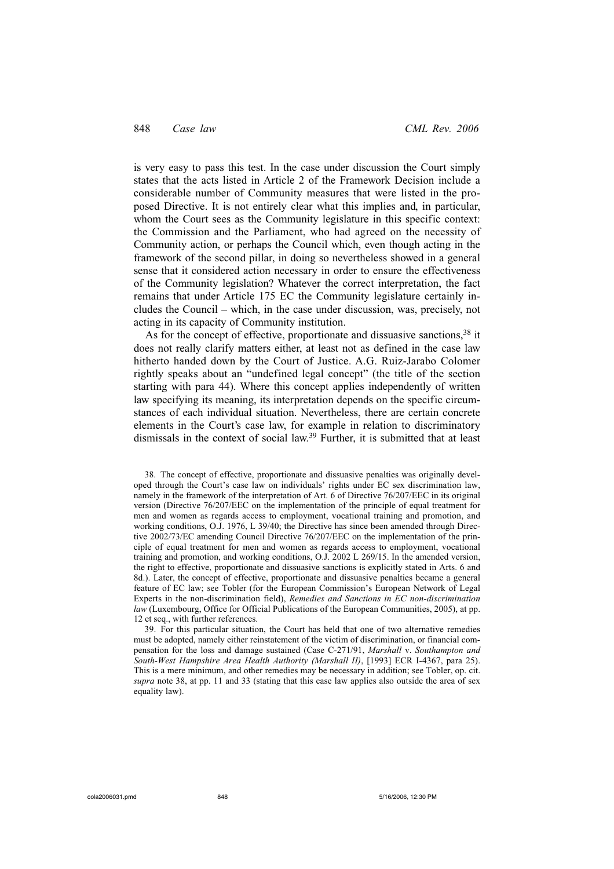is very easy to pass this test. In the case under discussion the Court simply states that the acts listed in Article 2 of the Framework Decision include a considerable number of Community measures that were listed in the proposed Directive. It is not entirely clear what this implies and, in particular, whom the Court sees as the Community legislature in this specific context: the Commission and the Parliament, who had agreed on the necessity of Community action, or perhaps the Council which, even though acting in the framework of the second pillar, in doing so nevertheless showed in a general sense that it considered action necessary in order to ensure the effectiveness of the Community legislation? Whatever the correct interpretation, the fact remains that under Article 175 EC the Community legislature certainly includes the Council – which, in the case under discussion, was, precisely, not acting in its capacity of Community institution.

As for the concept of effective, proportionate and dissuasive sanctions,  $38$  it does not really clarify matters either, at least not as defined in the case law hitherto handed down by the Court of Justice. A.G. Ruiz-Jarabo Colomer rightly speaks about an "undefined legal concept" (the title of the section starting with para 44). Where this concept applies independently of written law specifying its meaning, its interpretation depends on the specific circumstances of each individual situation. Nevertheless, there are certain concrete elements in the Court's case law, for example in relation to discriminatory dismissals in the context of social law.39 Further, it is submitted that at least

38. The concept of effective, proportionate and dissuasive penalties was originally developed through the Court's case law on individuals' rights under EC sex discrimination law, namely in the framework of the interpretation of Art. 6 of Directive 76/207/EEC in its original version (Directive 76/207/EEC on the implementation of the principle of equal treatment for men and women as regards access to employment, vocational training and promotion, and working conditions, O.J. 1976, L 39/40; the Directive has since been amended through Directive 2002/73/EC amending Council Directive 76/207/EEC on the implementation of the principle of equal treatment for men and women as regards access to employment, vocational training and promotion, and working conditions, O.J. 2002 L 269/15. In the amended version, the right to effective, proportionate and dissuasive sanctions is explicitly stated in Arts. 6 and 8d.). Later, the concept of effective, proportionate and dissuasive penalties became a general feature of EC law; see Tobler (for the European Commission's European Network of Legal Experts in the non-discrimination field), *Remedies and Sanctions in EC non-discrimination law* (Luxembourg, Office for Official Publications of the European Communities, 2005), at pp. 12 et seq., with further references.

39. For this particular situation, the Court has held that one of two alternative remedies must be adopted, namely either reinstatement of the victim of discrimination, or financial compensation for the loss and damage sustained (Case C-271/91, *Marshall* v. *Southampton and South-West Hampshire Area Health Authority (Marshall II)*, [1993] ECR I-4367, para 25). This is a mere minimum, and other remedies may be necessary in addition; see Tobler, op. cit. *supra* note 38, at pp. 11 and 33 (stating that this case law applies also outside the area of sex equality law).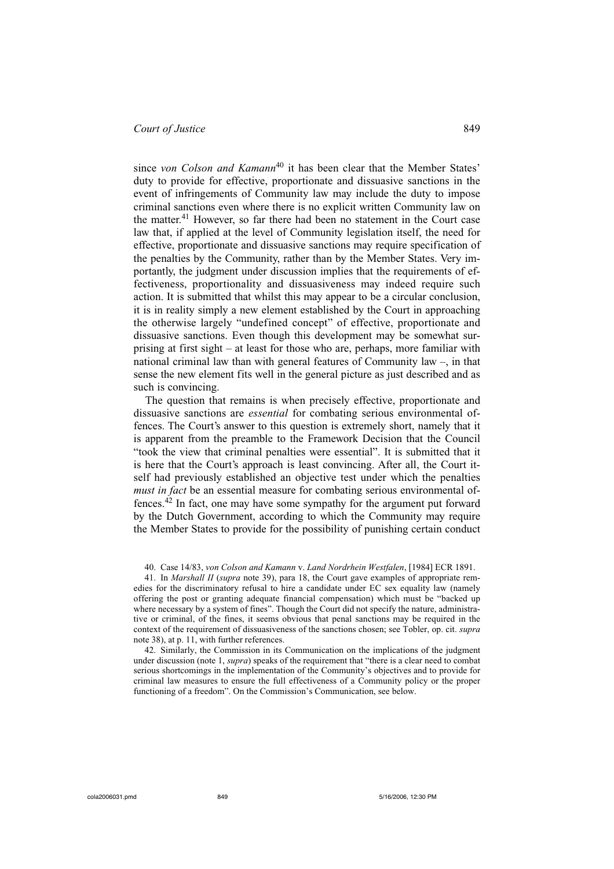since *von Colson and Kamann*<sup>40</sup> it has been clear that the Member States' duty to provide for effective, proportionate and dissuasive sanctions in the event of infringements of Community law may include the duty to impose criminal sanctions even where there is no explicit written Community law on the matter.<sup>41</sup> However, so far there had been no statement in the Court case law that, if applied at the level of Community legislation itself, the need for effective, proportionate and dissuasive sanctions may require specification of the penalties by the Community, rather than by the Member States. Very importantly, the judgment under discussion implies that the requirements of effectiveness, proportionality and dissuasiveness may indeed require such action. It is submitted that whilst this may appear to be a circular conclusion, it is in reality simply a new element established by the Court in approaching the otherwise largely "undefined concept" of effective, proportionate and dissuasive sanctions. Even though this development may be somewhat surprising at first sight – at least for those who are, perhaps, more familiar with national criminal law than with general features of Community law –, in that sense the new element fits well in the general picture as just described and as such is convincing.

The question that remains is when precisely effective, proportionate and dissuasive sanctions are *essential* for combating serious environmental offences. The Court's answer to this question is extremely short, namely that it is apparent from the preamble to the Framework Decision that the Council "took the view that criminal penalties were essential". It is submitted that it is here that the Court's approach is least convincing. After all, the Court itself had previously established an objective test under which the penalties *must in fact* be an essential measure for combating serious environmental offences. $42$  In fact, one may have some sympathy for the argument put forward by the Dutch Government, according to which the Community may require the Member States to provide for the possibility of punishing certain conduct

40. Case 14/83, *von Colson and Kamann* v. *Land Nordrhein Westfalen*, [1984] ECR 1891.

41. In *Marshall II* (*supra* note 39), para 18, the Court gave examples of appropriate remedies for the discriminatory refusal to hire a candidate under EC sex equality law (namely offering the post or granting adequate financial compensation) which must be "backed up where necessary by a system of fines". Though the Court did not specify the nature, administrative or criminal, of the fines, it seems obvious that penal sanctions may be required in the context of the requirement of dissuasiveness of the sanctions chosen; see Tobler, op. cit. *supra* note 38), at p. 11, with further references.

42. Similarly, the Commission in its Communication on the implications of the judgment under discussion (note 1, *supra*) speaks of the requirement that "there is a clear need to combat serious shortcomings in the implementation of the Community's objectives and to provide for criminal law measures to ensure the full effectiveness of a Community policy or the proper functioning of a freedom". On the Commission's Communication, see below.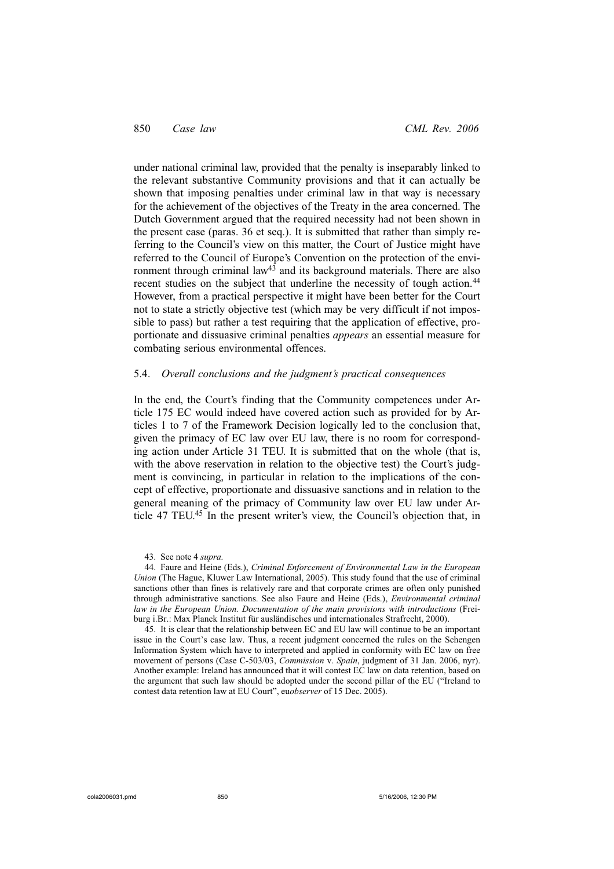under national criminal law, provided that the penalty is inseparably linked to the relevant substantive Community provisions and that it can actually be shown that imposing penalties under criminal law in that way is necessary for the achievement of the objectives of the Treaty in the area concerned. The Dutch Government argued that the required necessity had not been shown in the present case (paras. 36 et seq.). It is submitted that rather than simply referring to the Council's view on this matter, the Court of Justice might have referred to the Council of Europe's Convention on the protection of the environment through criminal law<sup>43</sup> and its background materials. There are also recent studies on the subject that underline the necessity of tough action.<sup>44</sup> However, from a practical perspective it might have been better for the Court not to state a strictly objective test (which may be very difficult if not impossible to pass) but rather a test requiring that the application of effective, proportionate and dissuasive criminal penalties *appears* an essential measure for combating serious environmental offences.

## 5.4. *Overall conclusions and the judgment's practical consequences*

In the end, the Court's finding that the Community competences under Article 175 EC would indeed have covered action such as provided for by Articles 1 to 7 of the Framework Decision logically led to the conclusion that, given the primacy of EC law over EU law, there is no room for corresponding action under Article 31 TEU. It is submitted that on the whole (that is, with the above reservation in relation to the objective test) the Court's judgment is convincing, in particular in relation to the implications of the concept of effective, proportionate and dissuasive sanctions and in relation to the general meaning of the primacy of Community law over EU law under Article 47 TEU.45 In the present writer's view, the Council's objection that, in

43. See note 4 *supra.*

45. It is clear that the relationship between EC and EU law will continue to be an important issue in the Court's case law. Thus, a recent judgment concerned the rules on the Schengen Information System which have to interpreted and applied in conformity with EC law on free movement of persons (Case C-503/03, *Commission* v. *Spain*, judgment of 31 Jan. 2006, nyr). Another example: Ireland has announced that it will contest EC law on data retention, based on the argument that such law should be adopted under the second pillar of the EU ("Ireland to contest data retention law at EU Court", eu*observer* of 15 Dec. 2005).

<sup>44.</sup> Faure and Heine (Eds.), *Criminal Enforcement of Environmental Law in the European Union* (The Hague, Kluwer Law International, 2005). This study found that the use of criminal sanctions other than fines is relatively rare and that corporate crimes are often only punished through administrative sanctions. See also Faure and Heine (Eds.), *Environmental criminal law in the European Union. Documentation of the main provisions with introductions* (Freiburg i.Br.: Max Planck Institut für ausländisches und internationales Strafrecht, 2000).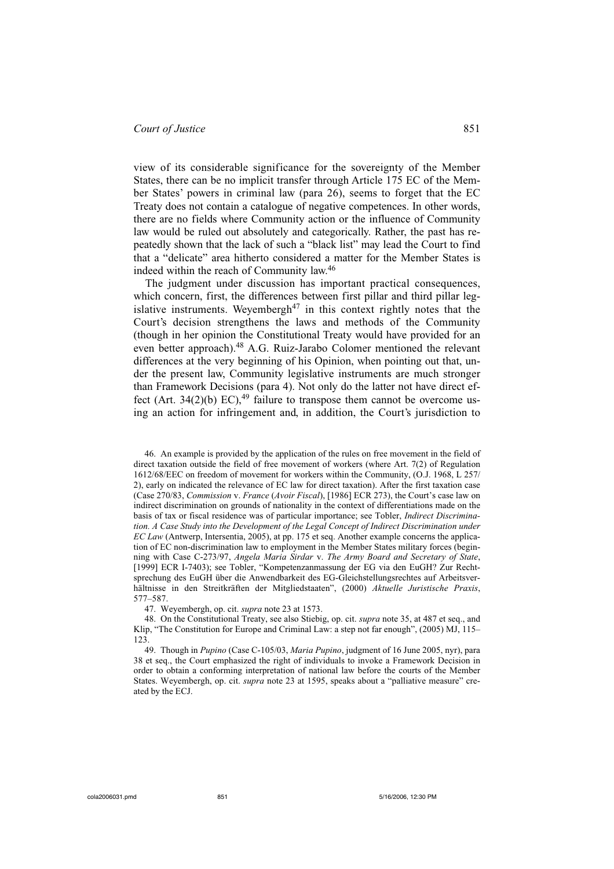view of its considerable significance for the sovereignty of the Member States, there can be no implicit transfer through Article 175 EC of the Member States' powers in criminal law (para 26), seems to forget that the EC Treaty does not contain a catalogue of negative competences. In other words, there are no fields where Community action or the influence of Community law would be ruled out absolutely and categorically. Rather, the past has repeatedly shown that the lack of such a "black list" may lead the Court to find that a "delicate" area hitherto considered a matter for the Member States is indeed within the reach of Community law.<sup>46</sup>

The judgment under discussion has important practical consequences, which concern, first, the differences between first pillar and third pillar legislative instruments. Weyembergh<sup>47</sup> in this context rightly notes that the Court's decision strengthens the laws and methods of the Community (though in her opinion the Constitutional Treaty would have provided for an even better approach).48 A.G. Ruiz-Jarabo Colomer mentioned the relevant differences at the very beginning of his Opinion, when pointing out that, under the present law, Community legislative instruments are much stronger than Framework Decisions (para 4). Not only do the latter not have direct effect (Art. 34(2)(b) EC), $49$  failure to transpose them cannot be overcome using an action for infringement and, in addition, the Court's jurisdiction to

46. An example is provided by the application of the rules on free movement in the field of direct taxation outside the field of free movement of workers (where Art. 7(2) of Regulation 1612/68/EEC on freedom of movement for workers within the Community, (O.J. 1968, L 257/ 2), early on indicated the relevance of EC law for direct taxation). After the first taxation case (Case 270/83, *Commission* v. *France* (*Avoir Fiscal*), [1986] ECR 273), the Court's case law on indirect discrimination on grounds of nationality in the context of differentiations made on the basis of tax or fiscal residence was of particular importance; see Tobler, *Indirect Discrimination. A Case Study into the Development of the Legal Concept of Indirect Discrimination under EC Law* (Antwerp, Intersentia, 2005), at pp. 175 et seq. Another example concerns the application of EC non-discrimination law to employment in the Member States military forces (beginning with Case C-273/97, *Angela Maria Sirdar* v. *The Army Board and Secretary of State*, [1999] ECR I-7403); see Tobler, "Kompetenzanmassung der EG via den EuGH? Zur Rechtsprechung des EuGH über die Anwendbarkeit des EG-Gleichstellungsrechtes auf Arbeitsverhältnisse in den Streitkräften der Mitgliedstaaten", (2000) *Aktuelle Juristische Praxis*, 577–587.

47. Weyembergh, op. cit. *supra* note 23 at 1573.

48. On the Constitutional Treaty, see also Stiebig, op. cit. *supra* note 35, at 487 et seq., and Klip, "The Constitution for Europe and Criminal Law: a step not far enough", (2005) MJ, 115– 123.

49. Though in *Pupino* (Case C-105/03, *Maria Pupino*, judgment of 16 June 2005, nyr), para 38 et seq., the Court emphasized the right of individuals to invoke a Framework Decision in order to obtain a conforming interpretation of national law before the courts of the Member States. Weyembergh, op. cit. *supra* note 23 at 1595, speaks about a "palliative measure" created by the ECJ.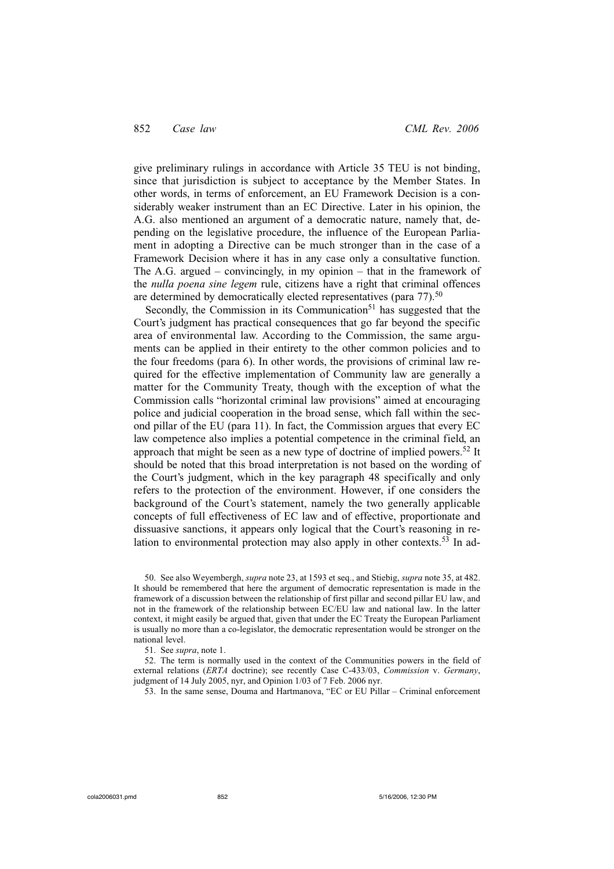give preliminary rulings in accordance with Article 35 TEU is not binding, since that jurisdiction is subject to acceptance by the Member States. In other words, in terms of enforcement, an EU Framework Decision is a considerably weaker instrument than an EC Directive. Later in his opinion, the A.G. also mentioned an argument of a democratic nature, namely that, depending on the legislative procedure, the influence of the European Parliament in adopting a Directive can be much stronger than in the case of a Framework Decision where it has in any case only a consultative function. The A.G. argued – convincingly, in my opinion – that in the framework of the *nulla poena sine legem* rule, citizens have a right that criminal offences are determined by democratically elected representatives (para 77).<sup>50</sup>

Secondly, the Commission in its Communication<sup>51</sup> has suggested that the Court's judgment has practical consequences that go far beyond the specific area of environmental law. According to the Commission, the same arguments can be applied in their entirety to the other common policies and to the four freedoms (para 6). In other words, the provisions of criminal law required for the effective implementation of Community law are generally a matter for the Community Treaty, though with the exception of what the Commission calls "horizontal criminal law provisions" aimed at encouraging police and judicial cooperation in the broad sense, which fall within the second pillar of the EU (para 11). In fact, the Commission argues that every EC law competence also implies a potential competence in the criminal field, an approach that might be seen as a new type of doctrine of implied powers.<sup>52</sup> It should be noted that this broad interpretation is not based on the wording of the Court's judgment, which in the key paragraph 48 specifically and only refers to the protection of the environment. However, if one considers the background of the Court's statement, namely the two generally applicable concepts of full effectiveness of EC law and of effective, proportionate and dissuasive sanctions, it appears only logical that the Court's reasoning in relation to environmental protection may also apply in other contexts.<sup>53</sup> In ad-

50. See also Weyembergh, *supra* note 23, at 1593 et seq., and Stiebig, *supra* note 35, at 482. It should be remembered that here the argument of democratic representation is made in the framework of a discussion between the relationship of first pillar and second pillar EU law, and not in the framework of the relationship between EC/EU law and national law. In the latter context, it might easily be argued that, given that under the EC Treaty the European Parliament is usually no more than a co-legislator, the democratic representation would be stronger on the national level.

51. See *supra*, note 1.

52. The term is normally used in the context of the Communities powers in the field of external relations (*ERTA* doctrine); see recently Case C-433/03, *Commission* v. *Germany*, judgment of 14 July 2005, nyr, and Opinion 1/03 of 7 Feb. 2006 nyr.

53. In the same sense, Douma and Hartmanova, "EC or EU Pillar – Criminal enforcement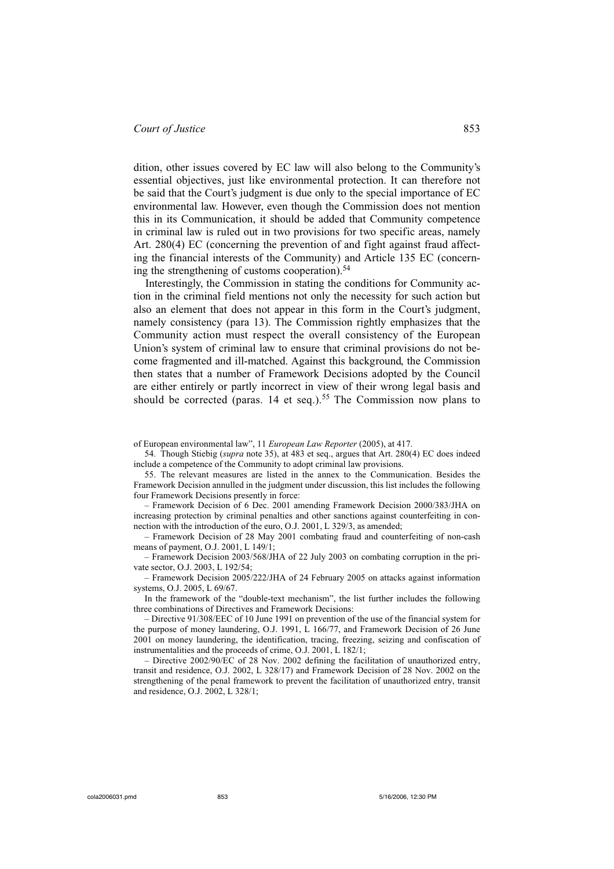dition, other issues covered by EC law will also belong to the Community's essential objectives, just like environmental protection. It can therefore not be said that the Court's judgment is due only to the special importance of EC environmental law. However, even though the Commission does not mention this in its Communication, it should be added that Community competence in criminal law is ruled out in two provisions for two specific areas, namely Art. 280(4) EC (concerning the prevention of and fight against fraud affecting the financial interests of the Community) and Article 135 EC (concerning the strengthening of customs cooperation). $54$ 

Interestingly, the Commission in stating the conditions for Community action in the criminal field mentions not only the necessity for such action but also an element that does not appear in this form in the Court's judgment, namely consistency (para 13). The Commission rightly emphasizes that the Community action must respect the overall consistency of the European Union's system of criminal law to ensure that criminal provisions do not become fragmented and ill-matched. Against this background, the Commission then states that a number of Framework Decisions adopted by the Council are either entirely or partly incorrect in view of their wrong legal basis and should be corrected (paras. 14 et seq.).<sup>55</sup> The Commission now plans to

of European environmental law", 11 *European Law Reporter* (2005), at 417.

54. Though Stiebig (*supra* note 35), at 483 et seq., argues that Art. 280(4) EC does indeed include a competence of the Community to adopt criminal law provisions.

55. The relevant measures are listed in the annex to the Communication. Besides the Framework Decision annulled in the judgment under discussion, this list includes the following four Framework Decisions presently in force:

– Framework Decision of 6 Dec. 2001 amending Framework Decision 2000/383/JHA on increasing protection by criminal penalties and other sanctions against counterfeiting in connection with the introduction of the euro, O.J. 2001, L 329/3, as amended;

– Framework Decision of 28 May 2001 combating fraud and counterfeiting of non-cash means of payment, O.J. 2001, L 149/1;

– Framework Decision 2003/568/JHA of 22 July 2003 on combating corruption in the private sector, O.J. 2003, L 192/54;

– Framework Decision 2005/222/JHA of 24 February 2005 on attacks against information systems, O.J. 2005, L 69/67.

In the framework of the "double-text mechanism", the list further includes the following three combinations of Directives and Framework Decisions:

– Directive 91/308/EEC of 10 June 1991 on prevention of the use of the financial system for the purpose of money laundering, O.J. 1991, L 166/77, and Framework Decision of 26 June 2001 on money laundering, the identification, tracing, freezing, seizing and confiscation of instrumentalities and the proceeds of crime, O.J. 2001, L 182/1;

– Directive 2002/90/EC of 28 Nov. 2002 defining the facilitation of unauthorized entry, transit and residence, O.J. 2002, L 328/17) and Framework Decision of 28 Nov. 2002 on the strengthening of the penal framework to prevent the facilitation of unauthorized entry, transit and residence, O.J. 2002, L 328/1;